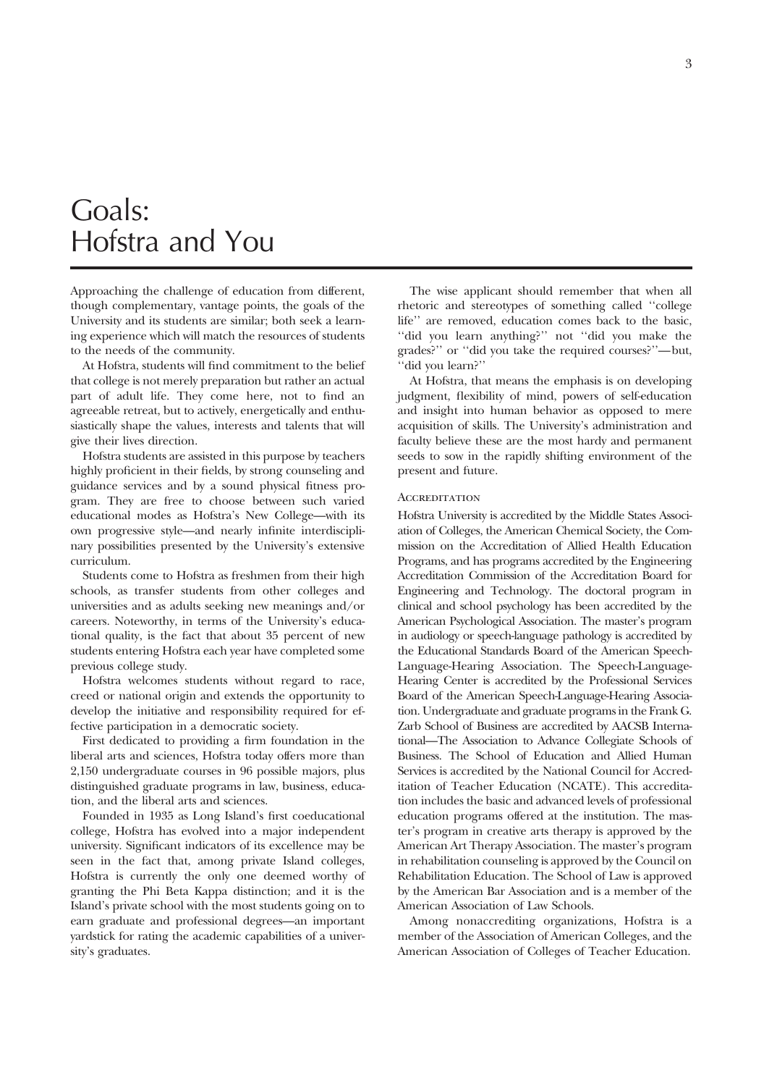## Goals: Hofstra and You

Approaching the challenge of education from different, though complementary, vantage points, the goals of the University and its students are similar; both seek a learning experience which will match the resources of students to the needs of the community.

At Hofstra, students will find commitment to the belief that college is not merely preparation but rather an actual part of adult life. They come here, not to find an agreeable retreat, but to actively, energetically and enthusiastically shape the values, interests and talents that will give their lives direction.

Hofstra students are assisted in this purpose by teachers highly proficient in their fields, by strong counseling and guidance services and by a sound physical fitness program. They are free to choose between such varied educational modes as Hofstra's New College—with its own progressive style—and nearly infinite interdisciplinary possibilities presented by the University's extensive curriculum.

Students come to Hofstra as freshmen from their high schools, as transfer students from other colleges and universities and as adults seeking new meanings and/or careers. Noteworthy, in terms of the University's educational quality, is the fact that about 35 percent of new students entering Hofstra each year have completed some previous college study.

Hofstra welcomes students without regard to race, creed or national origin and extends the opportunity to develop the initiative and responsibility required for effective participation in a democratic society.

First dedicated to providing a firm foundation in the liberal arts and sciences, Hofstra today offers more than 2,150 undergraduate courses in 96 possible majors, plus distinguished graduate programs in law, business, education, and the liberal arts and sciences.

Founded in 1935 as Long Island's first coeducational college, Hofstra has evolved into a major independent university. Significant indicators of its excellence may be seen in the fact that, among private Island colleges, Hofstra is currently the only one deemed worthy of granting the Phi Beta Kappa distinction; and it is the Island's private school with the most students going on to earn graduate and professional degrees—an important yardstick for rating the academic capabilities of a university's graduates.

The wise applicant should remember that when all rhetoric and stereotypes of something called ''college life'' are removed, education comes back to the basic, ''did you learn anything?'' not ''did you make the grades?'' or ''did you take the required courses?''—but, ''did you learn?''

At Hofstra, that means the emphasis is on developing judgment, flexibility of mind, powers of self-education and insight into human behavior as opposed to mere acquisition of skills. The University's administration and faculty believe these are the most hardy and permanent seeds to sow in the rapidly shifting environment of the present and future.

#### **ACCREDITATION**

Hofstra University is accredited by the Middle States Association of Colleges, the American Chemical Society, the Commission on the Accreditation of Allied Health Education Programs, and has programs accredited by the Engineering Accreditation Commission of the Accreditation Board for Engineering and Technology. The doctoral program in clinical and school psychology has been accredited by the American Psychological Association. The master's program in audiology or speech-language pathology is accredited by the Educational Standards Board of the American Speech-Language-Hearing Association. The Speech-Language-Hearing Center is accredited by the Professional Services Board of the American Speech-Language-Hearing Association. Undergraduate and graduate programs in the Frank G. Zarb School of Business are accredited by AACSB International—The Association to Advance Collegiate Schools of Business. The School of Education and Allied Human Services is accredited by the National Council for Accreditation of Teacher Education (NCATE). This accreditation includes the basic and advanced levels of professional education programs offered at the institution. The master's program in creative arts therapy is approved by the American Art Therapy Association. The master's program in rehabilitation counseling is approved by the Council on Rehabilitation Education. The School of Law is approved by the American Bar Association and is a member of the American Association of Law Schools.

Among nonaccrediting organizations, Hofstra is a member of the Association of American Colleges, and the American Association of Colleges of Teacher Education.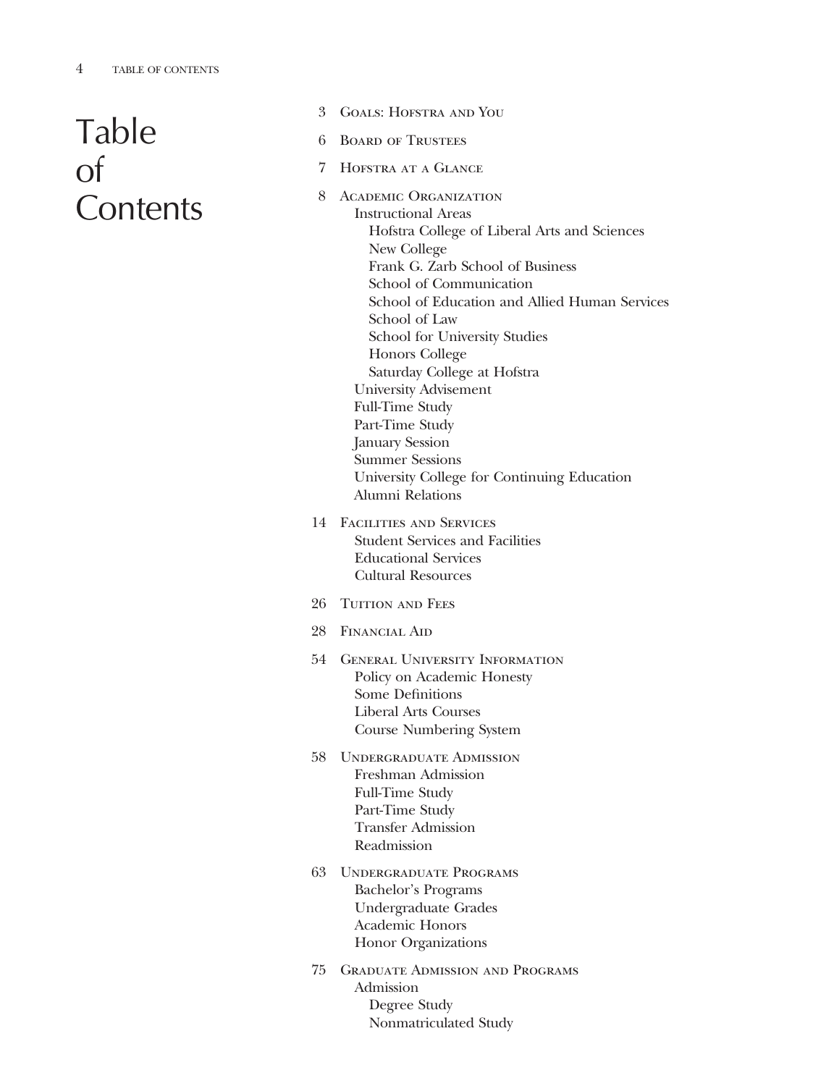# Table of **Contents**

- 3 Goals: Hofstra and You
- 6 Board of Trustees
- 7 Hofstra at a Glance
- 8 Academic Organization Instructional Areas Hofstra College of Liberal Arts and Sciences New College Frank G. Zarb School of Business School of Communication School of Education and Allied Human Services School of Law School for University Studies Honors College Saturday College at Hofstra University Advisement Full-Time Study Part-Time Study January Session Summer Sessions University College for Continuing Education Alumni Relations
- 14 Facilities and Services Student Services and Facilities Educational Services Cultural Resources
- 26 TUITION AND FEES
- 28 Financial Aid
- 54 General University Information Policy on Academic Honesty Some Definitions Liberal Arts Courses Course Numbering System
- 58 Undergraduate Admission Freshman Admission Full-Time Study Part-Time Study Transfer Admission Readmission
- 63 Undergraduate Programs Bachelor's Programs Undergraduate Grades Academic Honors Honor Organizations
- 75 Graduate Admission and Programs Admission Degree Study Nonmatriculated Study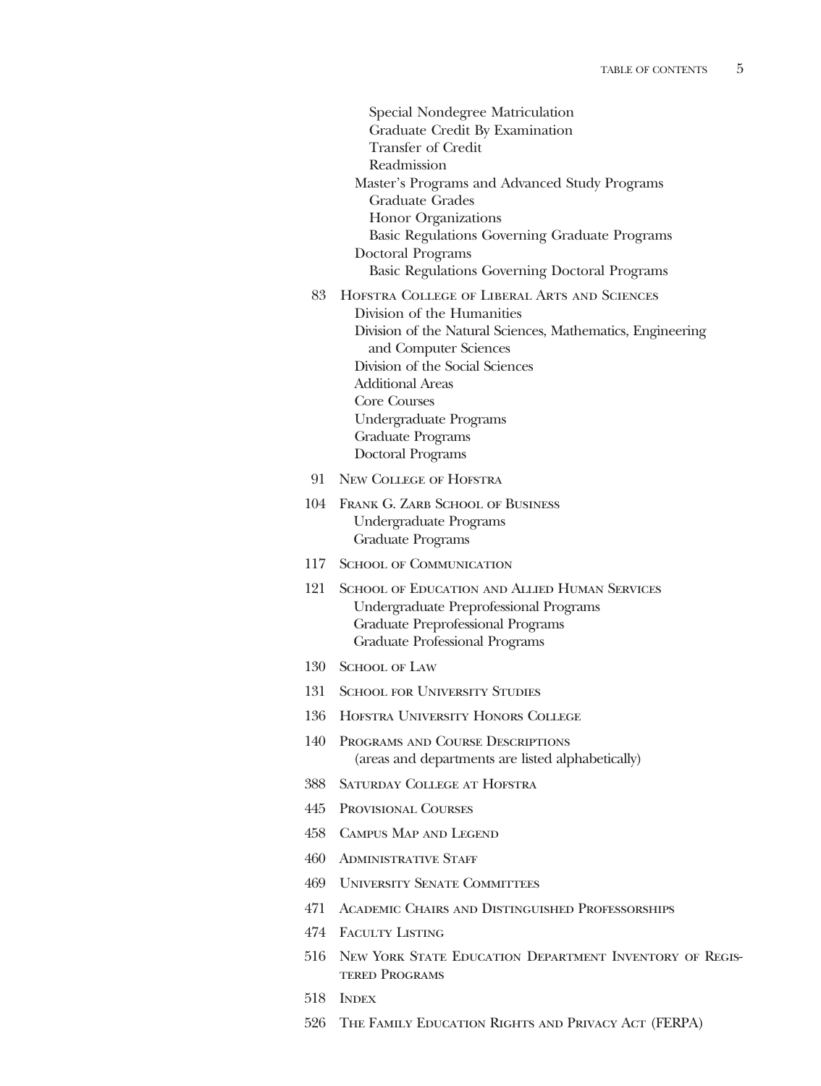Special Nondegree Matriculation Graduate Credit By Examination Transfer of Credit Readmission Master's Programs and Advanced Study Programs Graduate Grades Honor Organizations Basic Regulations Governing Graduate Programs Doctoral Programs Basic Regulations Governing Doctoral Programs 83 Hofstra College of Liberal Arts and Sciences Division of the Humanities Division of the Natural Sciences, Mathematics, Engineering and Computer Sciences Division of the Social Sciences Additional Areas Core Courses Undergraduate Programs Graduate Programs Doctoral Programs

- 91 New College of Hofstra
- 104 Frank G. Zarb School of Business Undergraduate Programs Graduate Programs
- 117 SCHOOL OF COMMUNICATION
- 121 School of Education and Allied Human Services Undergraduate Preprofessional Programs Graduate Preprofessional Programs Graduate Professional Programs
- 130 SCHOOL OF LAW
- 131 SCHOOL FOR UNIVERSITY STUDIES
- 136 Hofstra University Honors College
- 140 Programs and Course Descriptions (areas and departments are listed alphabetically)
- 388 Saturday College at Hofstra
- 445 Provisional Courses
- 458 Campus Map and Legend
- 460 ADMINISTRATIVE STAFF
- 469 University Senate Committees
- 471 Academic Chairs and Distinguished Professorships
- 474 Faculty Listing
- 516 New York State Education Department Inventory of Registered Programs
- 518 INDEX
- 526 The Family Education Rights and Privacy Act (FERPA)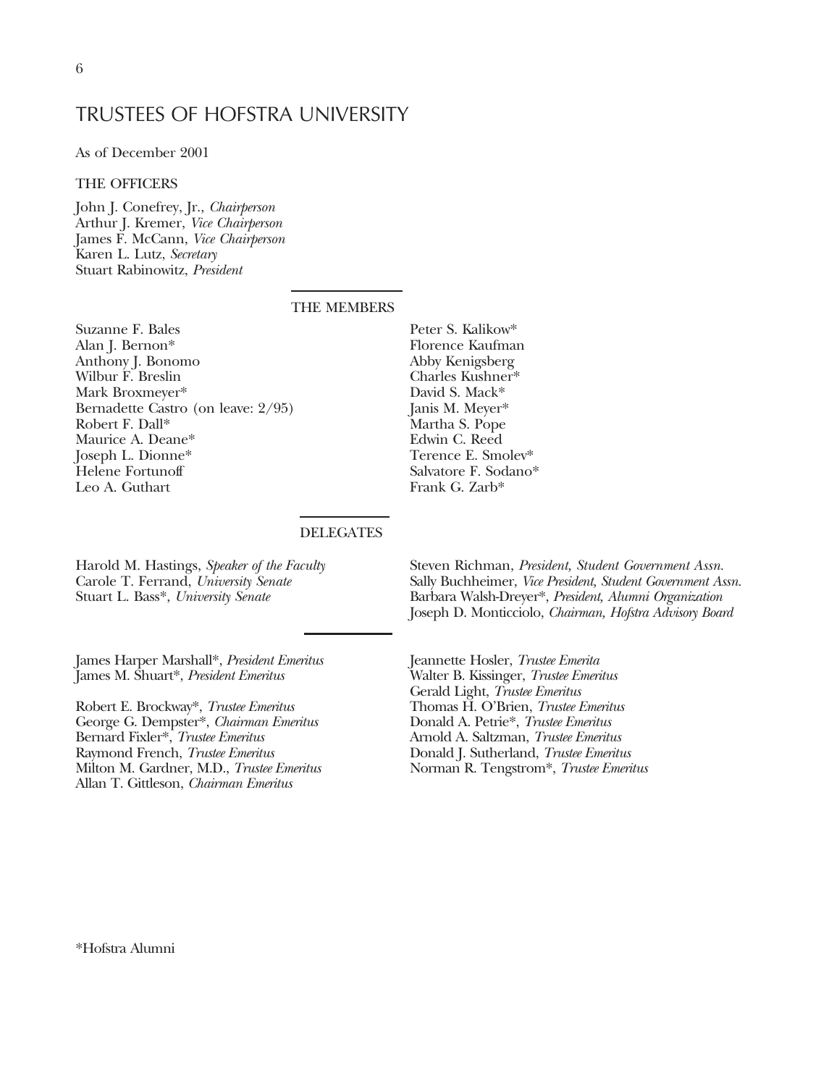## TRUSTEES OF HOFSTRA UNIVERSITY

As of December 2001

## THE OFFICERS

John J. Conefrey, Jr., *Chairperson* Arthur J. Kremer, *Vice Chairperson* James F. McCann, *Vice Chairperson* Karen L. Lutz, *Secretary* Stuart Rabinowitz, *President*

## THE MEMBERS

Suzanne F. Bales Alan J. Bernon\* Anthony J. Bonomo Wilbur F. Breslin Mark Broxmeyer\* Bernadette Castro (on leave: 2/95) Robert F. Dall\* Maurice A. Deane\* Joseph L. Dionne\* Helene Fortunoff Leo A. Guthart

Peter S. Kalikow\* Florence Kaufman Abby Kenigsberg Charles Kushner\* David S. Mack\* Janis M. Meyer\* Martha S. Pope Edwin C. Reed Terence E. Smolev\* Salvatore F. Sodano\* Frank G. Zarb\*

### **DELEGATES**

Harold M. Hastings, *Speaker of the Faculty* Carole T. Ferrand, *University Senate* Stuart L. Bass\*, *University Senate*

James Harper Marshall\*, *President Emeritus* James M. Shuart\*, *President Emeritus*

Robert E. Brockway\*, *Trustee Emeritus* George G. Dempster\*, *Chairman Emeritus* Bernard Fixler\*, *Trustee Emeritus* Raymond French, *Trustee Emeritus* Milton M. Gardner, M.D., *Trustee Emeritus* Allan T. Gittleson, *Chairman Emeritus*

Steven Richman, *President, Student Government Assn.* Sally Buchheimer, *Vice President, Student Government Assn.* Barbara Walsh-Dreyer\*, *President, Alumni Organization* Joseph D. Monticciolo, *Chairman, Hofstra Advisory Board*

Jeannette Hosler, *Trustee Emerita* Walter B. Kissinger, *Trustee Emeritus* Gerald Light, *Trustee Emeritus* Thomas H. O'Brien, *Trustee Emeritus* Donald A. Petrie\*, *Trustee Emeritus* Arnold A. Saltzman, *Trustee Emeritus* Donald J. Sutherland, *Trustee Emeritus* Norman R. Tengstrom\*, *Trustee Emeritus*

\*Hofstra Alumni